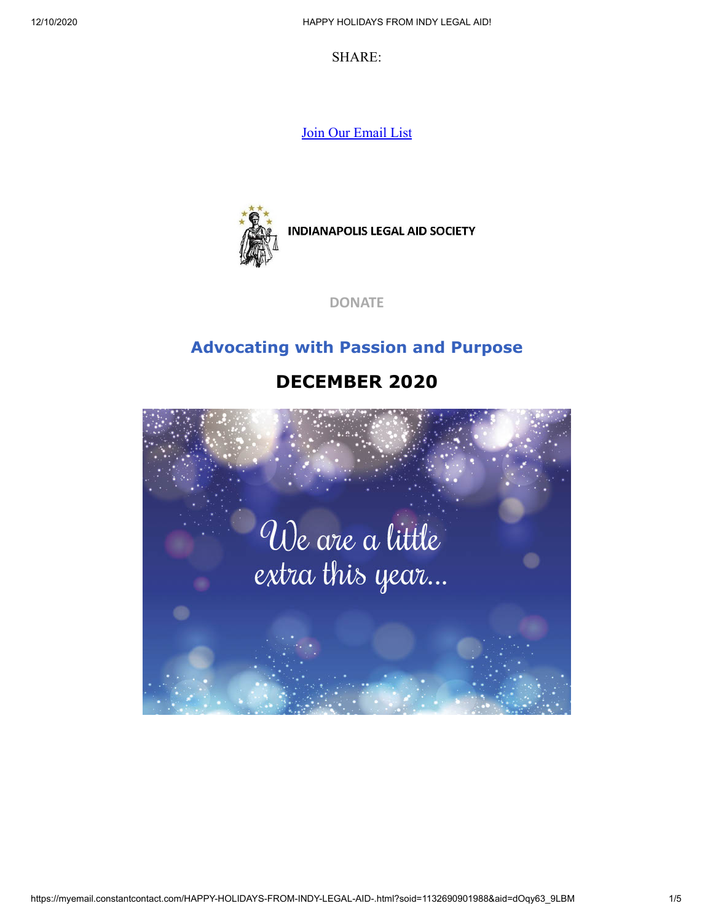SHARE:

[Join Our Email List](https://visitor.constantcontact.com/d.jsp?m=1132690901988&p=oi)



**INDIANAPOLIS LEGAL AID SOCIETY** 

**[DONATE](https://www.indylas.org/donate-to-the-annual-fund-drive)**

#### **Advocating with Passion and Purpose**

### **DECEMBER 2020**

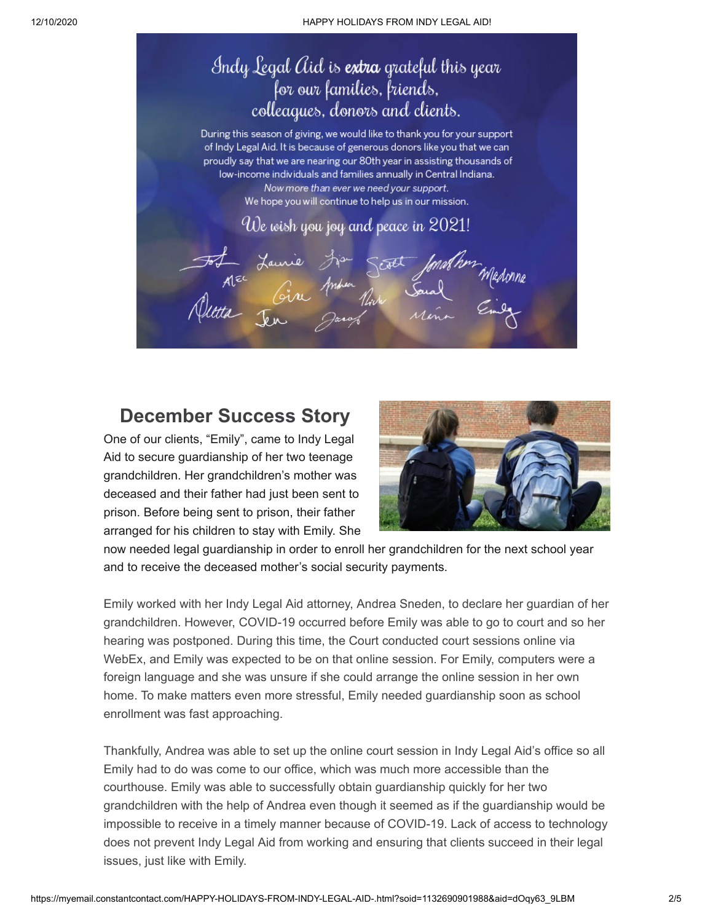

### **December Success Story**

One of our clients, "Emily", came to Indy Legal Aid to secure guardianship of her two teenage grandchildren. Her grandchildren's mother was deceased and their father had just been sent to prison. Before being sent to prison, their father arranged for his children to stay with Emily. She



now needed legal guardianship in order to enroll her grandchildren for the next school year and to receive the deceased mother's social security payments.

Emily worked with her Indy Legal Aid attorney, Andrea Sneden, to declare her guardian of her grandchildren. However, COVID-19 occurred before Emily was able to go to court and so her hearing was postponed. During this time, the Court conducted court sessions online via WebEx, and Emily was expected to be on that online session. For Emily, computers were a foreign language and she was unsure if she could arrange the online session in her own home. To make matters even more stressful, Emily needed guardianship soon as school enrollment was fast approaching.

Thankfully, Andrea was able to set up the online court session in Indy Legal Aid's office so all Emily had to do was come to our office, which was much more accessible than the courthouse. Emily was able to successfully obtain guardianship quickly for her two grandchildren with the help of Andrea even though it seemed as if the guardianship would be impossible to receive in a timely manner because of COVID-19. Lack of access to technology does not prevent Indy Legal Aid from working and ensuring that clients succeed in their legal issues, just like with Emily.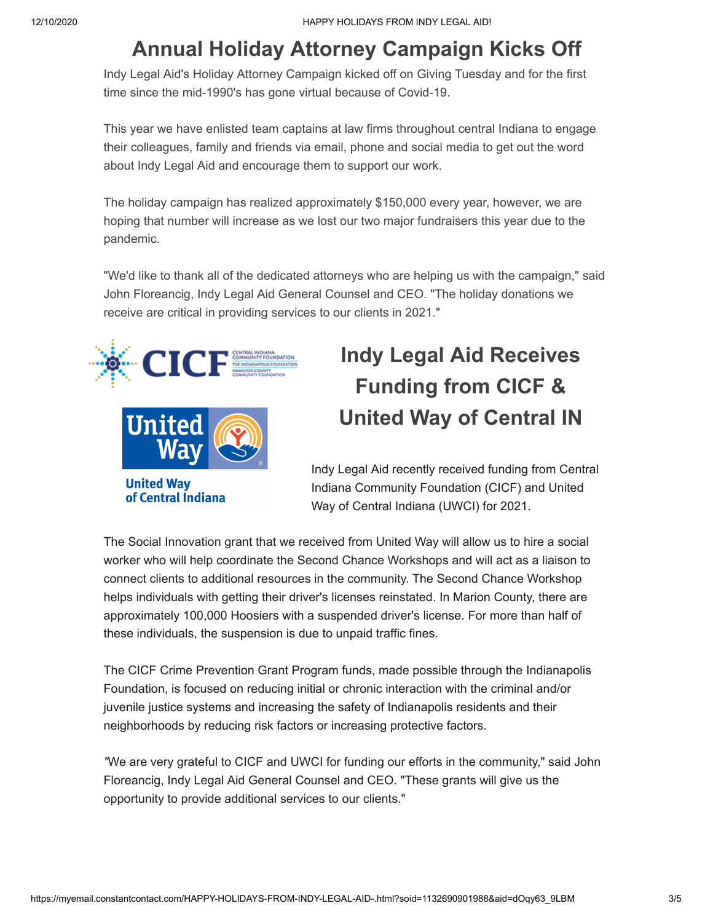### **Annual Holiday Attorney Campaign Kicks Off**

Indy Legal Aid's Holiday Attorney Campaign kicked off on Giving Tuesday and for the first time since the mid-1990's has gone virtual because of Covid-19.

This year we have enlisted team captains at law firms throughout central Indiana to engage their colleagues, family and friends via email, phone and social media to get out the word about Indy Legal Aid and encourage them to support our work.

The holiday campaign has realized approximately \$150,000 every year, however, we are hoping that number will increase as we lost our two major fundraisers this year due to the pandemic.

"We'd like to thank all of the dedicated attorneys who are helping us with the campaign," said John Floreancig, Indy Legal Aid General Counsel and CEO. "The holiday donations we receive are critical in providing services to our clients in 2021."



# **Indy Legal Aid Receives Funding from CICF & United Way of Central IN**

Indy Legal Aid recently received funding from Central Indiana Community Foundation (CICF) and United Way of Central Indiana (UWCI) for 2021.

The Social Innovation grant that we received from United Way will allow us to hire a social worker who will help coordinate the Second Chance Workshops and will act as a liaison to connect clients to additional resources in the community. The Second Chance Workshop helps individuals with getting their driver's licenses reinstated. In Marion County, there are approximately 100,000 Hoosiers with a suspended driver's license. For more than half of these individuals, the suspension is due to unpaid traffic fines.

The CICF Crime Prevention Grant Program funds, made possible through the Indianapolis Foundation, is focused on reducing initial or chronic interaction with the criminal and/or juvenile justice systems and increasing the safety of Indianapolis residents and their neighborhoods by reducing risk factors or increasing protective factors.

*"*We are very grateful to CICF and UWCI for funding our efforts in the community," said John Floreancig, Indy Legal Aid General Counsel and CEO. "These grants will give us the opportunity to provide additional services to our clients."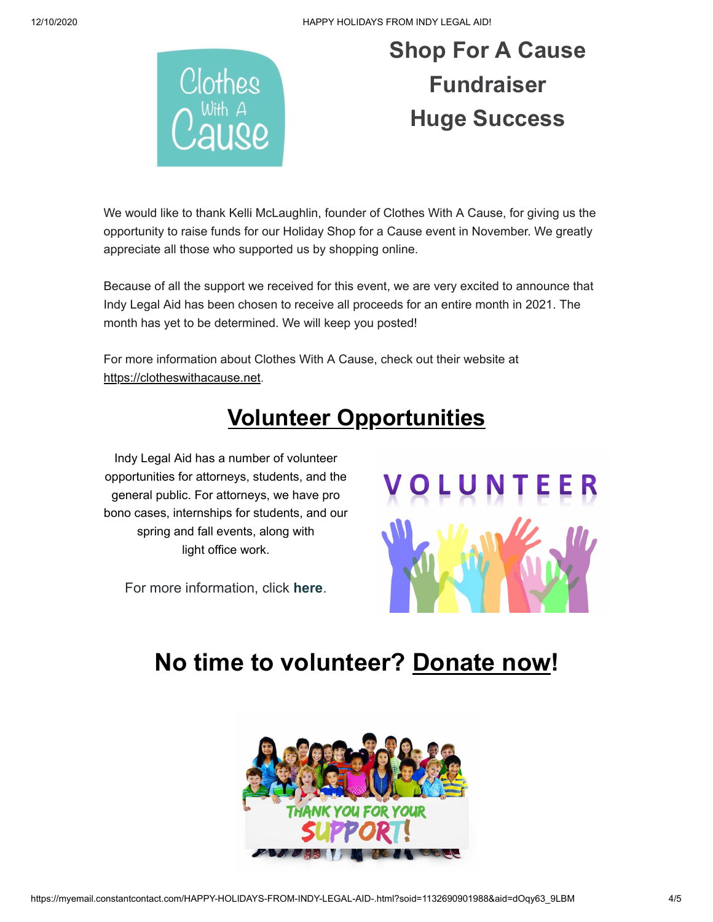12/10/2020 HAPPY HOLIDAYS FROM INDY LEGAL AID!



# **Shop For A Cause Fundraiser Huge Success**

We would like to thank Kelli McLaughlin, founder of Clothes With A Cause, for giving us the opportunity to raise funds for our Holiday Shop for a Cause event in November. We greatly appreciate all those who supported us by shopping online.

Because of all the support we received for this event, we are very excited to announce that Indy Legal Aid has been chosen to receive all proceeds for an entire month in 2021. The month has yet to be determined. We will keep you posted!

For more information about Clothes With A Cause, check out their website at [https://clotheswithacause.net.](https://clotheswithacause.net/)

## **Volunteer Opportunities**

Indy Legal Aid has a number of volunteer opportunities for attorneys, students, and the general public. For attorneys, we have pro bono cases, internships for students, and our spring and fall events, along with light office work.

For more information, click **[here](https://www.indylas.org/volunteering)**[.](https://www.indylas.org/volunteering)



### **No time to volunteer? [Donate now](https://interland3.donorperfect.net/weblink/weblink.aspx?name=E5192&id=1)!**